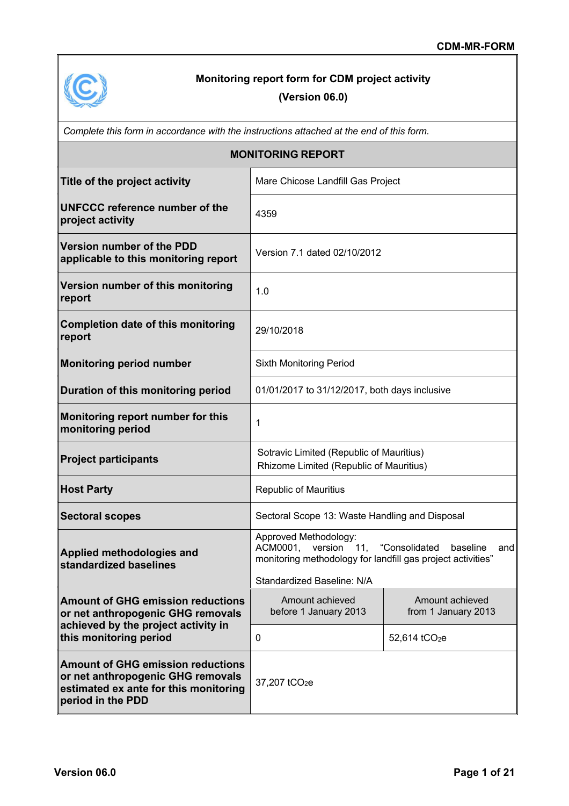

# **Monitoring report form for CDM project activity**

# **(Version 06.0)**

| Complete this form in accordance with the instructions attached at the end of this form.                                                    |                                                                                                                                                                              |                                        |  |  |
|---------------------------------------------------------------------------------------------------------------------------------------------|------------------------------------------------------------------------------------------------------------------------------------------------------------------------------|----------------------------------------|--|--|
|                                                                                                                                             | <b>MONITORING REPORT</b>                                                                                                                                                     |                                        |  |  |
| Title of the project activity                                                                                                               | Mare Chicose Landfill Gas Project                                                                                                                                            |                                        |  |  |
| <b>UNFCCC reference number of the</b><br>project activity                                                                                   | 4359                                                                                                                                                                         |                                        |  |  |
| <b>Version number of the PDD</b><br>applicable to this monitoring report                                                                    | Version 7.1 dated 02/10/2012                                                                                                                                                 |                                        |  |  |
| Version number of this monitoring<br>report                                                                                                 | 1.0                                                                                                                                                                          |                                        |  |  |
| <b>Completion date of this monitoring</b><br>report                                                                                         | 29/10/2018                                                                                                                                                                   |                                        |  |  |
| <b>Monitoring period number</b>                                                                                                             | <b>Sixth Monitoring Period</b>                                                                                                                                               |                                        |  |  |
| Duration of this monitoring period                                                                                                          | 01/01/2017 to 31/12/2017, both days inclusive                                                                                                                                |                                        |  |  |
| Monitoring report number for this<br>monitoring period                                                                                      | 1                                                                                                                                                                            |                                        |  |  |
| <b>Project participants</b>                                                                                                                 | Sotravic Limited (Republic of Mauritius)<br>Rhizome Limited (Republic of Mauritius)                                                                                          |                                        |  |  |
| <b>Host Party</b>                                                                                                                           | <b>Republic of Mauritius</b>                                                                                                                                                 |                                        |  |  |
| <b>Sectoral scopes</b>                                                                                                                      | Sectoral Scope 13: Waste Handling and Disposal                                                                                                                               |                                        |  |  |
| Applied methodologies and<br>standardized baselines                                                                                         | Approved Methodology:<br>ACM0001, version 11, "Consolidated<br>baseline<br>andl<br>monitoring methodology for landfill gas project activities"<br>Standardized Baseline: N/A |                                        |  |  |
| <b>Amount of GHG emission reductions</b><br>or net anthropogenic GHG removals<br>achieved by the project activity in                        | Amount achieved<br>before 1 January 2013                                                                                                                                     | Amount achieved<br>from 1 January 2013 |  |  |
| this monitoring period                                                                                                                      | 0                                                                                                                                                                            | 52,614 tCO <sub>2</sub> e              |  |  |
| <b>Amount of GHG emission reductions</b><br>or net anthropogenic GHG removals<br>estimated ex ante for this monitoring<br>period in the PDD | 37,207 tCO <sub>2</sub> e                                                                                                                                                    |                                        |  |  |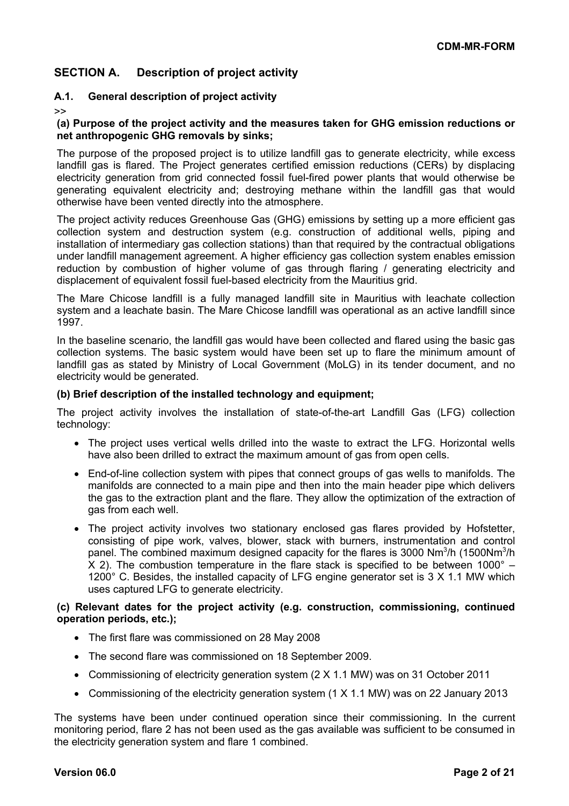# **SECTION A. Description of project activity**

### **A.1. General description of project activity**

>>

**(a) Purpose of the project activity and the measures taken for GHG emission reductions or net anthropogenic GHG removals by sinks;**

The purpose of the proposed project is to utilize landfill gas to generate electricity, while excess landfill gas is flared. The Project generates certified emission reductions (CERs) by displacing electricity generation from grid connected fossil fuel-fired power plants that would otherwise be generating equivalent electricity and; destroying methane within the landfill gas that would otherwise have been vented directly into the atmosphere.

The project activity reduces Greenhouse Gas (GHG) emissions by setting up a more efficient gas collection system and destruction system (e.g. construction of additional wells, piping and installation of intermediary gas collection stations) than that required by the contractual obligations under landfill management agreement. A higher efficiency gas collection system enables emission reduction by combustion of higher volume of gas through flaring / generating electricity and displacement of equivalent fossil fuel-based electricity from the Mauritius grid.

The Mare Chicose landfill is a fully managed landfill site in Mauritius with leachate collection system and a leachate basin. The Mare Chicose landfill was operational as an active landfill since 1997.

In the baseline scenario, the landfill gas would have been collected and flared using the basic gas collection systems. The basic system would have been set up to flare the minimum amount of landfill gas as stated by Ministry of Local Government (MoLG) in its tender document, and no electricity would be generated.

#### **(b) Brief description of the installed technology and equipment;**

The project activity involves the installation of state-of-the-art Landfill Gas (LFG) collection technology:

- The project uses vertical wells drilled into the waste to extract the LFG. Horizontal wells have also been drilled to extract the maximum amount of gas from open cells.
- End-of-line collection system with pipes that connect groups of gas wells to manifolds. The manifolds are connected to a main pipe and then into the main header pipe which delivers the gas to the extraction plant and the flare. They allow the optimization of the extraction of gas from each well.
- The project activity involves two stationary enclosed gas flares provided by Hofstetter, consisting of pipe work, valves, blower, stack with burners, instrumentation and control panel. The combined maximum designed capacity for the flares is 3000 Nm<sup>3</sup>/h (1500Nm<sup>3</sup>/h  $X$  2). The combustion temperature in the flare stack is specified to be between 1000 $^{\circ}$  -1200° C. Besides, the installed capacity of LFG engine generator set is 3 X 1.1 MW which uses captured LFG to generate electricity.

#### **(c) Relevant dates for the project activity (e.g. construction, commissioning, continued operation periods, etc.);**

- The first flare was commissioned on 28 May 2008
- The second flare was commissioned on 18 September 2009.
- Commissioning of electricity generation system (2 X 1.1 MW) was on 31 October 2011
- Commissioning of the electricity generation system (1 X 1.1 MW) was on 22 January 2013

The systems have been under continued operation since their commissioning. In the current monitoring period, flare 2 has not been used as the gas available was sufficient to be consumed in the electricity generation system and flare 1 combined.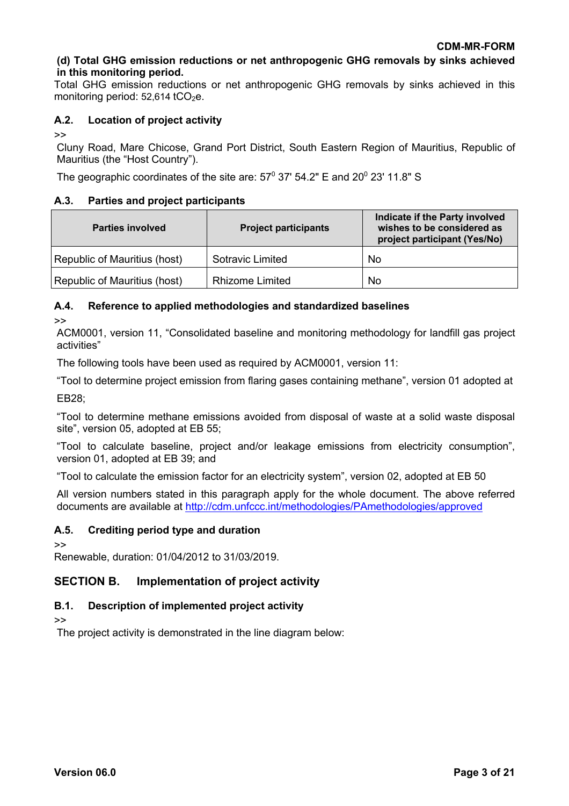### **(d) Total GHG emission reductions or net anthropogenic GHG removals by sinks achieved in this monitoring period.**

Total GHG emission reductions or net anthropogenic GHG removals by sinks achieved in this monitoring period:  $52,614$  tCO<sub>2</sub>e.

### **A.2. Location of project activity**

>>

Cluny Road, Mare Chicose, Grand Port District, South Eastern Region of Mauritius, Republic of Mauritius (the "Host Country").

The geographic coordinates of the site are:  $57^{\circ}$  37' 54.2" E and 20 $^{\circ}$  23' 11.8" S

### **A.3. Parties and project participants**

| <b>Parties involved</b>      | <b>Project participants</b> | Indicate if the Party involved<br>wishes to be considered as<br>project participant (Yes/No) |
|------------------------------|-----------------------------|----------------------------------------------------------------------------------------------|
| Republic of Mauritius (host) | <b>Sotravic Limited</b>     | No                                                                                           |
| Republic of Mauritius (host) | <b>Rhizome Limited</b>      | No                                                                                           |

### **A.4. Reference to applied methodologies and standardized baselines**

>>

ACM0001, version 11, "Consolidated baseline and monitoring methodology for landfill gas project activities"

The following tools have been used as required by ACM0001, version 11:

"Tool to determine project emission from flaring gases containing methane", version 01 adopted at EB28;

"Tool to determine methane emissions avoided from disposal of waste at a solid waste disposal site", version 05, adopted at EB 55;

"Tool to calculate baseline, project and/or leakage emissions from electricity consumption", version 01, adopted at EB 39; and

"Tool to calculate the emission factor for an electricity system", version 02, adopted at EB 50

All version numbers stated in this paragraph apply for the whole document. The above referred documents are available at http://cdm.unfccc.int/methodologies/PAmethodologies/approved

### **A.5. Crediting period type and duration**

>>

Renewable, duration: 01/04/2012 to 31/03/2019.

# **SECTION B. Implementation of project activity**

# **B.1. Description of implemented project activity**

>>

The project activity is demonstrated in the line diagram below: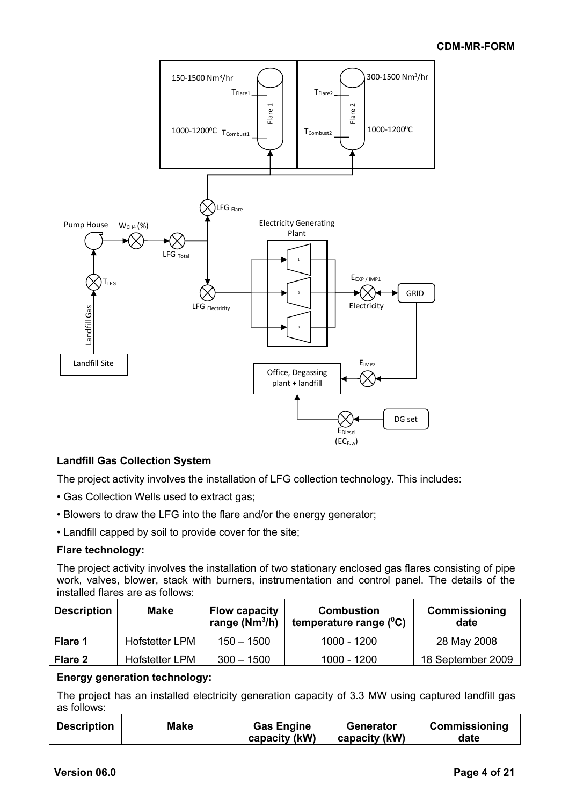

### **Landfill Gas Collection System**

The project activity involves the installation of LFG collection technology. This includes:

- Gas Collection Wells used to extract gas;
- Blowers to draw the LFG into the flare and/or the energy generator;
- Landfill capped by soil to provide cover for the site;

### **Flare technology:**

The project activity involves the installation of two stationary enclosed gas flares consisting of pipe work, valves, blower, stack with burners, instrumentation and control panel. The details of the installed flares are as follows:

| <b>Description</b> | <b>Make</b>           | <b>Flow capacity</b><br>range $(Nm^3/h)$ | <b>Combustion</b><br>temperature range $(^0C)$ | <b>Commissioning</b><br>date |
|--------------------|-----------------------|------------------------------------------|------------------------------------------------|------------------------------|
| Flare 1            | <b>Hofstetter LPM</b> | $150 - 1500$                             | 1000 - 1200                                    | 28 May 2008                  |
| Flare 2            | <b>Hofstetter LPM</b> | $300 - 1500$                             | 1000 - 1200                                    | 18 September 2009            |

### **Energy generation technology:**

The project has an installed electricity generation capacity of 3.3 MW using captured landfill gas as follows:

| <b>Description</b> | <b>Make</b> | <b>Gas Engine</b> | Generator     | <b>Commissioning</b> |
|--------------------|-------------|-------------------|---------------|----------------------|
|                    |             | capacity (kW)     | capacity (kW) | date                 |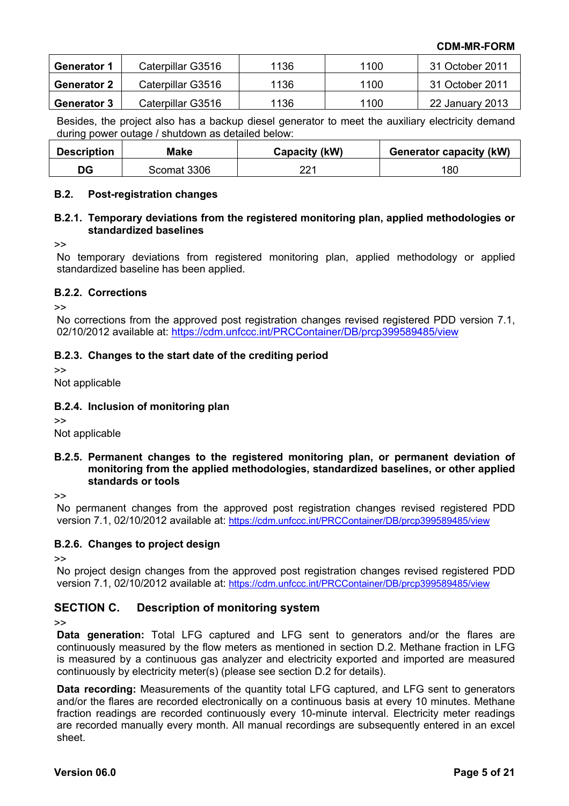| <b>Generator 1</b> | Caterpillar G3516 | 1136 | 1100 | 31 October 2011 |
|--------------------|-------------------|------|------|-----------------|
| <b>Generator 2</b> | Caterpillar G3516 | 1136 | 1100 | 31 October 2011 |
| <b>Generator 3</b> | Caterpillar G3516 | 1136 | 1100 | 22 January 2013 |

Besides, the project also has a backup diesel generator to meet the auxiliary electricity demand during power outage / shutdown as detailed below:

| <b>Description</b> | Make        | Capacity (kW) | <b>Generator capacity (kW)</b> |
|--------------------|-------------|---------------|--------------------------------|
| DG                 | Scomat 3306 | つつ 1          | 180                            |

### **B.2. Post-registration changes**

#### **B.2.1. Temporary deviations from the registered monitoring plan, applied methodologies or standardized baselines**

>>

No temporary deviations from registered monitoring plan, applied methodology or applied standardized baseline has been applied.

#### **B.2.2. Corrections**

>>

No corrections from the approved post registration changes revised registered PDD version 7.1, 02/10/2012 available at: https://cdm.unfccc.int/PRCContainer/DB/prcp399589485/view

### **B.2.3. Changes to the start date of the crediting period**

>>

Not applicable

### **B.2.4. Inclusion of monitoring plan**

 $\geq$ 

Not applicable

#### **B.2.5. Permanent changes to the registered monitoring plan, or permanent deviation of monitoring from the applied methodologies, standardized baselines, or other applied standards or tools**

>>

No permanent changes from the approved post registration changes revised registered PDD version 7.1, 02/10/2012 available at: https://cdm.unfccc.int/PRCContainer/DB/prcp399589485/view

### **B.2.6. Changes to project design**

 $\rightarrow$ 

No project design changes from the approved post registration changes revised registered PDD version 7.1, 02/10/2012 available at: https://cdm.unfccc.int/PRCContainer/DB/prcp399589485/view

## **SECTION C. Description of monitoring system**

 $\sim$ 

**Data generation:** Total LFG captured and LFG sent to generators and/or the flares are continuously measured by the flow meters as mentioned in section D.2. Methane fraction in LFG is measured by a continuous gas analyzer and electricity exported and imported are measured continuously by electricity meter(s) (please see section D.2 for details).

**Data recording:** Measurements of the quantity total LFG captured, and LFG sent to generators and/or the flares are recorded electronically on a continuous basis at every 10 minutes. Methane fraction readings are recorded continuously every 10-minute interval. Electricity meter readings are recorded manually every month. All manual recordings are subsequently entered in an excel sheet.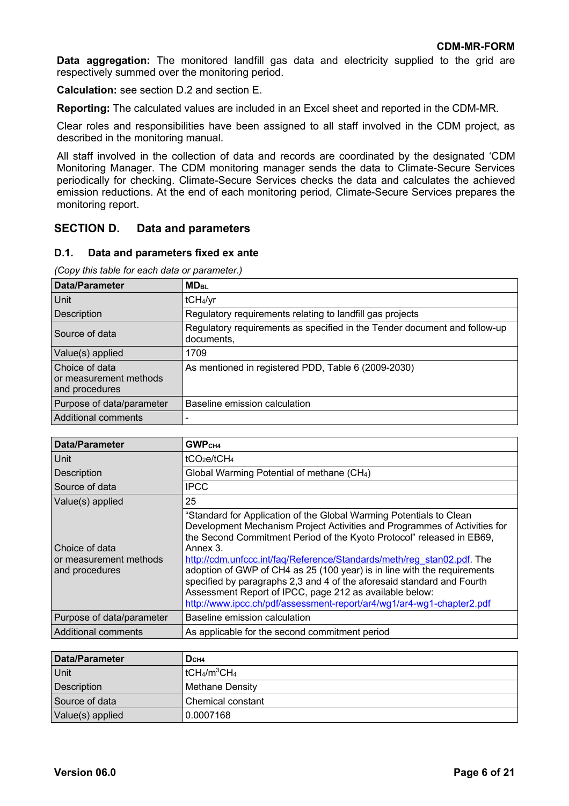**Data aggregation:** The monitored landfill gas data and electricity supplied to the grid are respectively summed over the monitoring period.

**Calculation:** see section D.2 and section E.

**Reporting:** The calculated values are included in an Excel sheet and reported in the CDM-MR.

Clear roles and responsibilities have been assigned to all staff involved in the CDM project, as described in the monitoring manual.

All staff involved in the collection of data and records are coordinated by the designated 'CDM Monitoring Manager. The CDM monitoring manager sends the data to Climate-Secure Services periodically for checking. Climate-Secure Services checks the data and calculates the achieved emission reductions. At the end of each monitoring period, Climate-Secure Services prepares the monitoring report.

### **SECTION D. Data and parameters**

#### **D.1. Data and parameters fixed ex ante**

*(Copy this table for each data or parameter.)*

| <b>Data/Parameter</b>                                      | <b>MD<sub>BL</sub></b>                                                                  |
|------------------------------------------------------------|-----------------------------------------------------------------------------------------|
| Unit                                                       | tCH <sub>4</sub> /yr                                                                    |
| Description                                                | Regulatory requirements relating to landfill gas projects                               |
| Source of data                                             | Regulatory requirements as specified in the Tender document and follow-up<br>documents, |
| Value(s) applied                                           | 1709                                                                                    |
| Choice of data<br>or measurement methods<br>and procedures | As mentioned in registered PDD, Table 6 (2009-2030)                                     |
| Purpose of data/parameter                                  | Baseline emission calculation                                                           |
| Additional comments                                        |                                                                                         |

| <b>Data/Parameter</b>                                      | GWP <sub>CH4</sub>                                                                                                                                                                                                                                                                                                                                                                                                                                                                                                                                                                                        |
|------------------------------------------------------------|-----------------------------------------------------------------------------------------------------------------------------------------------------------------------------------------------------------------------------------------------------------------------------------------------------------------------------------------------------------------------------------------------------------------------------------------------------------------------------------------------------------------------------------------------------------------------------------------------------------|
| Unit                                                       | tCO <sub>2</sub> e/tCH <sub>4</sub>                                                                                                                                                                                                                                                                                                                                                                                                                                                                                                                                                                       |
| <b>Description</b>                                         | Global Warming Potential of methane (CH <sub>4</sub> )                                                                                                                                                                                                                                                                                                                                                                                                                                                                                                                                                    |
| Source of data                                             | <b>IPCC</b>                                                                                                                                                                                                                                                                                                                                                                                                                                                                                                                                                                                               |
| Value(s) applied                                           | 25                                                                                                                                                                                                                                                                                                                                                                                                                                                                                                                                                                                                        |
| Choice of data<br>or measurement methods<br>and procedures | "Standard for Application of the Global Warming Potentials to Clean<br>Development Mechanism Project Activities and Programmes of Activities for<br>the Second Commitment Period of the Kyoto Protocol" released in EB69,<br>Annex 3.<br>http://cdm.unfccc.int/faq/Reference/Standards/meth/reg_stan02.pdf. The<br>adoption of GWP of CH4 as 25 (100 year) is in line with the requirements<br>specified by paragraphs 2,3 and 4 of the aforesaid standard and Fourth<br>Assessment Report of IPCC, page 212 as available below:<br>http://www.ipcc.ch/pdf/assessment-report/ar4/wg1/ar4-wg1-chapter2.pdf |
| Purpose of data/parameter                                  | Baseline emission calculation                                                                                                                                                                                                                                                                                                                                                                                                                                                                                                                                                                             |
| <b>Additional comments</b>                                 | As applicable for the second commitment period                                                                                                                                                                                                                                                                                                                                                                                                                                                                                                                                                            |

| Data/Parameter   | Dсн4                              |
|------------------|-----------------------------------|
| <b>Unit</b>      | $^{\prime\prime}$ tCH4/m $^3$ CH4 |
| Description      | <b>Methane Density</b>            |
| Source of data   | Chemical constant                 |
| Value(s) applied | 0.0007168                         |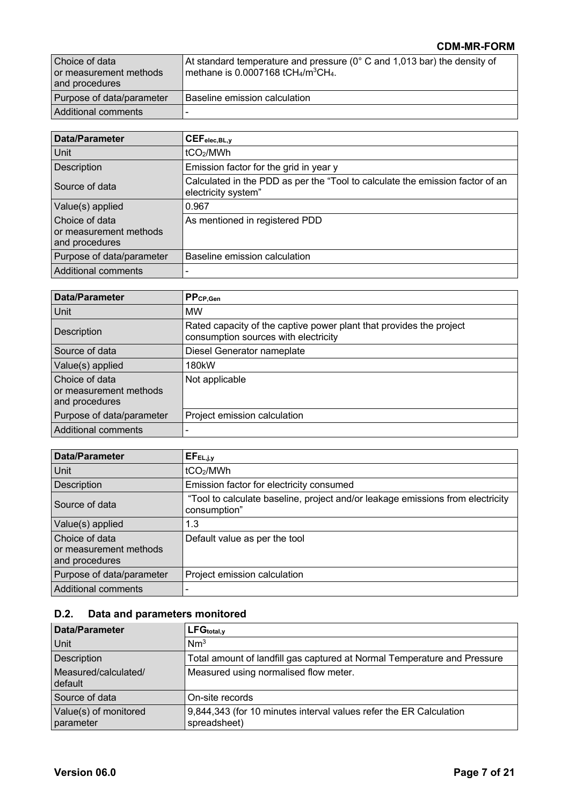| Choice of data<br>or measurement methods<br>and procedures | At standard temperature and pressure ( $0^{\circ}$ C and 1,013 bar) the density of<br>methane is 0.0007168 tCH <sub>4</sub> /m <sup>3</sup> CH <sub>4</sub> . |
|------------------------------------------------------------|---------------------------------------------------------------------------------------------------------------------------------------------------------------|
| Purpose of data/parameter                                  | l Baseline emission calculation.                                                                                                                              |
| Additional comments                                        | $\overline{\phantom{0}}$                                                                                                                                      |

| <b>Data/Parameter</b>                                      | CEF <sub>elec,BL,y</sub>                                                                             |
|------------------------------------------------------------|------------------------------------------------------------------------------------------------------|
| Unit                                                       | tCO <sub>2</sub> /MWh                                                                                |
| Description                                                | Emission factor for the grid in year y                                                               |
| Source of data                                             | Calculated in the PDD as per the "Tool to calculate the emission factor of an<br>electricity system" |
| Value(s) applied                                           | 0.967                                                                                                |
| Choice of data<br>or measurement methods<br>and procedures | As mentioned in registered PDD                                                                       |
| Purpose of data/parameter                                  | Baseline emission calculation                                                                        |
| Additional comments                                        |                                                                                                      |

| <b>Data/Parameter</b>                                      | PPCP, Gen                                                                                                   |
|------------------------------------------------------------|-------------------------------------------------------------------------------------------------------------|
| Unit                                                       | <b>MW</b>                                                                                                   |
| Description                                                | Rated capacity of the captive power plant that provides the project<br>consumption sources with electricity |
| Source of data                                             | Diesel Generator nameplate                                                                                  |
| Value(s) applied                                           | 180 <sub>k</sub> W                                                                                          |
| Choice of data<br>or measurement methods<br>and procedures | Not applicable                                                                                              |
| Purpose of data/parameter                                  | Project emission calculation                                                                                |
| <b>Additional comments</b>                                 |                                                                                                             |

| <b>Data/Parameter</b>                                      | $EF_{EL,j,y}$                                                                                  |
|------------------------------------------------------------|------------------------------------------------------------------------------------------------|
| Unit                                                       | tCO <sub>2</sub> /MWh                                                                          |
| Description                                                | Emission factor for electricity consumed                                                       |
| Source of data                                             | "Tool to calculate baseline, project and/or leakage emissions from electricity<br>consumption" |
| Value(s) applied                                           | 1.3                                                                                            |
| Choice of data<br>or measurement methods<br>and procedures | Default value as per the tool                                                                  |
| Purpose of data/parameter                                  | Project emission calculation                                                                   |
| <b>Additional comments</b>                                 |                                                                                                |

# **D.2. Data and parameters monitored**

| Data/Parameter                     | LFG <sub>total,y</sub>                                                             |
|------------------------------------|------------------------------------------------------------------------------------|
| Unit                               | Nm <sup>3</sup>                                                                    |
| Description                        | Total amount of landfill gas captured at Normal Temperature and Pressure           |
| Measured/calculated/<br>default    | Measured using normalised flow meter.                                              |
| Source of data                     | On-site records                                                                    |
| Value(s) of monitored<br>parameter | 9,844,343 (for 10 minutes interval values refer the ER Calculation<br>spreadsheet) |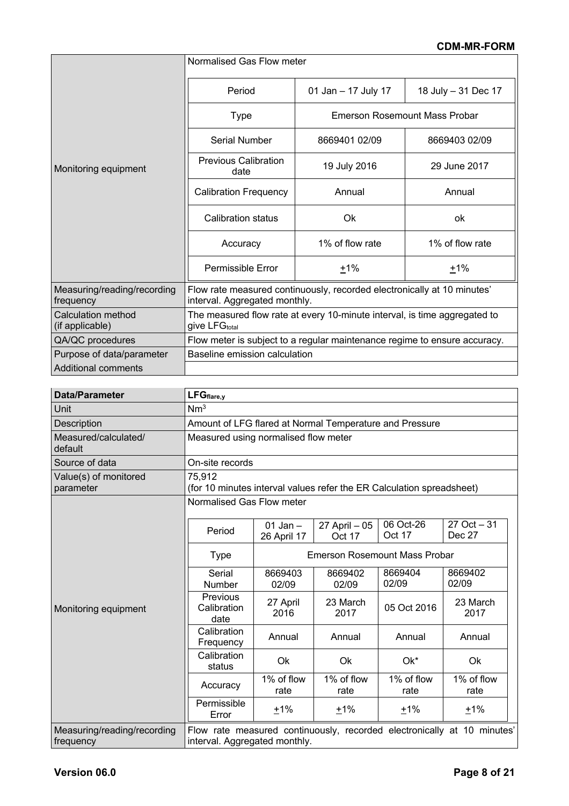|                                          | Normalised Gas Flow meter                                                                                |                               |                     |  |
|------------------------------------------|----------------------------------------------------------------------------------------------------------|-------------------------------|---------------------|--|
|                                          | Period                                                                                                   | 01 Jan - 17 July 17           | 18 July - 31 Dec 17 |  |
|                                          | <b>Type</b>                                                                                              | Emerson Rosemount Mass Probar |                     |  |
|                                          | Serial Number                                                                                            | 8669401 02/09                 | 8669403 02/09       |  |
| Monitoring equipment                     | <b>Previous Calibration</b><br>date                                                                      | 19 July 2016                  | 29 June 2017        |  |
|                                          | <b>Calibration Frequency</b>                                                                             | Annual                        | Annual              |  |
|                                          | Calibration status                                                                                       | Ok                            | ok                  |  |
|                                          | Accuracy                                                                                                 | 1% of flow rate               | 1% of flow rate     |  |
|                                          | <b>Permissible Error</b>                                                                                 | $+1%$                         | $+1%$               |  |
| Measuring/reading/recording<br>frequency | Flow rate measured continuously, recorded electronically at 10 minutes'<br>interval. Aggregated monthly. |                               |                     |  |
| Calculation method<br>(if applicable)    | The measured flow rate at every 10-minute interval, is time aggregated to<br>give LFG <sub>total</sub>   |                               |                     |  |
| QA/QC procedures                         | Flow meter is subject to a regular maintenance regime to ensure accuracy.                                |                               |                     |  |
| Purpose of data/parameter                | Baseline emission calculation                                                                            |                               |                     |  |
| Additional comments                      |                                                                                                          |                               |                     |  |

| Data/Parameter                           | $LFG_{flare,y}$                                                                 |                                      |                         |                     |                                                                         |
|------------------------------------------|---------------------------------------------------------------------------------|--------------------------------------|-------------------------|---------------------|-------------------------------------------------------------------------|
| Unit                                     | Nm <sup>3</sup>                                                                 |                                      |                         |                     |                                                                         |
| Description                              | Amount of LFG flared at Normal Temperature and Pressure                         |                                      |                         |                     |                                                                         |
| Measured/calculated/<br>default          | Measured using normalised flow meter                                            |                                      |                         |                     |                                                                         |
| Source of data                           | On-site records                                                                 |                                      |                         |                     |                                                                         |
| Value(s) of monitored<br>parameter       | 75,912<br>(for 10 minutes interval values refer the ER Calculation spreadsheet) |                                      |                         |                     |                                                                         |
|                                          | Normalised Gas Flow meter                                                       |                                      |                         |                     |                                                                         |
|                                          | Period                                                                          | 01 Jan $-$<br>26 April 17            | 27 April - 05<br>Oct 17 | 06 Oct-26<br>Oct 17 | $27$ Oct $-31$<br>Dec 27                                                |
|                                          | <b>Type</b>                                                                     | <b>Emerson Rosemount Mass Probar</b> |                         |                     |                                                                         |
| Monitoring equipment                     | Serial<br>Number                                                                | 8669403<br>02/09                     | 8669402<br>02/09        | 8669404<br>02/09    | 8669402<br>02/09                                                        |
|                                          | Previous<br>Calibration<br>date                                                 | 27 April<br>2016                     | 23 March<br>2017        | 05 Oct 2016         | 23 March<br>2017                                                        |
|                                          | Calibration<br>Frequency                                                        | Annual                               | Annual                  | Annual              | Annual                                                                  |
|                                          | Calibration<br>status                                                           | Ok                                   | Ok                      | Ok*                 | Ok                                                                      |
|                                          | Accuracy                                                                        | 1% of flow<br>rate                   | 1% of flow<br>rate      | 1% of flow<br>rate  | 1% of flow<br>rate                                                      |
|                                          | Permissible<br>Error                                                            | ±1%                                  | ±1%                     | ±1%                 | ±1%                                                                     |
| Measuring/reading/recording<br>frequency | interval. Aggregated monthly.                                                   |                                      |                         |                     | Flow rate measured continuously, recorded electronically at 10 minutes' |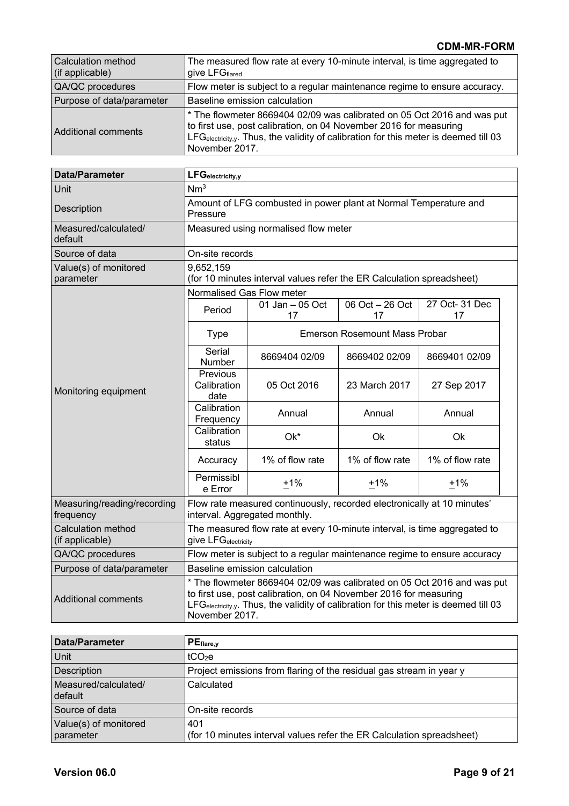| <b>Calculation method</b><br>(if applicable) | The measured flow rate at every 10-minute interval, is time aggregated to<br>give LFGflared                                                                                                                                                            |
|----------------------------------------------|--------------------------------------------------------------------------------------------------------------------------------------------------------------------------------------------------------------------------------------------------------|
| QA/QC procedures                             | Flow meter is subject to a regular maintenance regime to ensure accuracy.                                                                                                                                                                              |
| Purpose of data/parameter                    | Baseline emission calculation                                                                                                                                                                                                                          |
| Additional comments                          | * The flowmeter 8669404 02/09 was calibrated on 05 Oct 2016 and was put<br>to first use, post calibration, on 04 November 2016 for measuring<br>LFGelectricity,y. Thus, the validity of calibration for this meter is deemed till 03<br>November 2017. |

| <b>Data/Parameter</b>                    | LFGelectricity,y                                                                                                                                                                                                                                       |                                                                       |                                      |                      |  |
|------------------------------------------|--------------------------------------------------------------------------------------------------------------------------------------------------------------------------------------------------------------------------------------------------------|-----------------------------------------------------------------------|--------------------------------------|----------------------|--|
| Unit                                     | Nm <sup>3</sup>                                                                                                                                                                                                                                        |                                                                       |                                      |                      |  |
| Description                              | Amount of LFG combusted in power plant at Normal Temperature and<br>Pressure                                                                                                                                                                           |                                                                       |                                      |                      |  |
| Measured/calculated/<br>default          |                                                                                                                                                                                                                                                        | Measured using normalised flow meter                                  |                                      |                      |  |
| Source of data                           | On-site records                                                                                                                                                                                                                                        |                                                                       |                                      |                      |  |
| Value(s) of monitored<br>parameter       | 9,652,159                                                                                                                                                                                                                                              | (for 10 minutes interval values refer the ER Calculation spreadsheet) |                                      |                      |  |
|                                          | Normalised Gas Flow meter                                                                                                                                                                                                                              |                                                                       |                                      |                      |  |
|                                          | Period                                                                                                                                                                                                                                                 | 01 Jan - 05 Oct<br>17                                                 | 06 Oct $-26$ Oct<br>17               | 27 Oct- 31 Dec<br>17 |  |
|                                          | <b>Type</b>                                                                                                                                                                                                                                            |                                                                       | <b>Emerson Rosemount Mass Probar</b> |                      |  |
|                                          | Serial<br>Number                                                                                                                                                                                                                                       | 8669404 02/09                                                         | 8669402 02/09                        | 8669401 02/09        |  |
| Monitoring equipment                     | Previous<br>Calibration<br>date                                                                                                                                                                                                                        | 05 Oct 2016                                                           | 23 March 2017                        | 27 Sep 2017          |  |
|                                          | Calibration<br>Frequency                                                                                                                                                                                                                               | Annual                                                                | Annual                               | Annual               |  |
|                                          | Calibration<br>status                                                                                                                                                                                                                                  | Ok*                                                                   | Ok                                   | Ok                   |  |
|                                          | Accuracy                                                                                                                                                                                                                                               | 1% of flow rate                                                       | 1% of flow rate                      | 1% of flow rate      |  |
|                                          | Permissibl<br>e Error                                                                                                                                                                                                                                  | $+1%$                                                                 | $+1%$                                | $+1%$                |  |
| Measuring/reading/recording<br>frequency | Flow rate measured continuously, recorded electronically at 10 minutes'<br>interval. Aggregated monthly.                                                                                                                                               |                                                                       |                                      |                      |  |
| Calculation method<br>(if applicable)    | The measured flow rate at every 10-minute interval, is time aggregated to<br>give LFG <sub>electricity</sub>                                                                                                                                           |                                                                       |                                      |                      |  |
| QA/QC procedures                         | Flow meter is subject to a regular maintenance regime to ensure accuracy                                                                                                                                                                               |                                                                       |                                      |                      |  |
| Purpose of data/parameter                | Baseline emission calculation                                                                                                                                                                                                                          |                                                                       |                                      |                      |  |
| <b>Additional comments</b>               | * The flowmeter 8669404 02/09 was calibrated on 05 Oct 2016 and was put<br>to first use, post calibration, on 04 November 2016 for measuring<br>LFGelectricity,y. Thus, the validity of calibration for this meter is deemed till 03<br>November 2017. |                                                                       |                                      |                      |  |

| Data/Parameter                     | $PE_{flare,y}$                                                               |
|------------------------------------|------------------------------------------------------------------------------|
| <b>Unit</b>                        | tCO <sub>2</sub> e                                                           |
| <b>Description</b>                 | Project emissions from flaring of the residual gas stream in year y          |
| Measured/calculated/<br>default    | Calculated                                                                   |
| Source of data                     | On-site records                                                              |
| Value(s) of monitored<br>parameter | 401<br>(for 10 minutes interval values refer the ER Calculation spreadsheet) |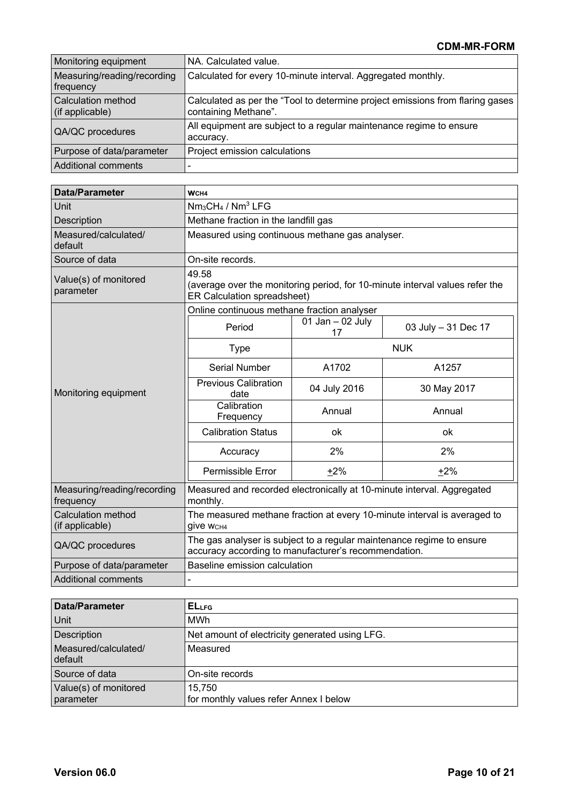| Monitoring equipment                         | NA. Calculated value.                                                                                 |
|----------------------------------------------|-------------------------------------------------------------------------------------------------------|
| Measuring/reading/recording<br>frequency     | Calculated for every 10-minute interval. Aggregated monthly.                                          |
| <b>Calculation method</b><br>(if applicable) | Calculated as per the "Tool to determine project emissions from flaring gases<br>containing Methane". |
| QA/QC procedures                             | All equipment are subject to a regular maintenance regime to ensure<br>accuracy.                      |
| Purpose of data/parameter                    | Project emission calculations                                                                         |
| Additional comments                          |                                                                                                       |

| <b>Data/Parameter</b>                        | WCH4                                                                                                                          |                                                 |                     |  |
|----------------------------------------------|-------------------------------------------------------------------------------------------------------------------------------|-------------------------------------------------|---------------------|--|
| Unit                                         | $Nm3CH4 / Nm3 LFG$                                                                                                            |                                                 |                     |  |
| Description                                  | Methane fraction in the landfill gas                                                                                          |                                                 |                     |  |
| Measured/calculated/<br>default              |                                                                                                                               | Measured using continuous methane gas analyser. |                     |  |
| Source of data                               | On-site records.                                                                                                              |                                                 |                     |  |
| Value(s) of monitored<br>parameter           | 49.58<br>(average over the monitoring period, for 10-minute interval values refer the<br>ER Calculation spreadsheet)          |                                                 |                     |  |
|                                              | Online continuous methane fraction analyser                                                                                   |                                                 |                     |  |
|                                              | Period                                                                                                                        | 01 Jan $-$ 02 July<br>17                        | 03 July - 31 Dec 17 |  |
| Monitoring equipment                         | <b>Type</b>                                                                                                                   | <b>NUK</b>                                      |                     |  |
|                                              | <b>Serial Number</b>                                                                                                          | A1702                                           | A1257               |  |
|                                              | <b>Previous Calibration</b><br>date                                                                                           | 04 July 2016                                    | 30 May 2017         |  |
|                                              | Calibration<br>Frequency                                                                                                      | Annual                                          | Annual              |  |
|                                              | <b>Calibration Status</b>                                                                                                     | ok                                              | ok                  |  |
|                                              | Accuracy                                                                                                                      | 2%                                              | 2%                  |  |
|                                              | Permissible Error                                                                                                             | $+2%$                                           | $+2%$               |  |
| Measuring/reading/recording<br>frequency     | Measured and recorded electronically at 10-minute interval. Aggregated<br>monthly.                                            |                                                 |                     |  |
| <b>Calculation method</b><br>(if applicable) | The measured methane fraction at every 10-minute interval is averaged to<br><b>give WCH4</b>                                  |                                                 |                     |  |
| QA/QC procedures                             | The gas analyser is subject to a regular maintenance regime to ensure<br>accuracy according to manufacturer's recommendation. |                                                 |                     |  |
| Purpose of data/parameter                    | Baseline emission calculation                                                                                                 |                                                 |                     |  |
| <b>Additional comments</b>                   |                                                                                                                               |                                                 |                     |  |

| Data/Parameter                     | <b>ELLFG</b>                                     |
|------------------------------------|--------------------------------------------------|
| Unit                               | MWh                                              |
| Description                        | Net amount of electricity generated using LFG.   |
| Measured/calculated/<br>default    | Measured                                         |
| Source of data                     | On-site records                                  |
| Value(s) of monitored<br>parameter | 15.750<br>for monthly values refer Annex I below |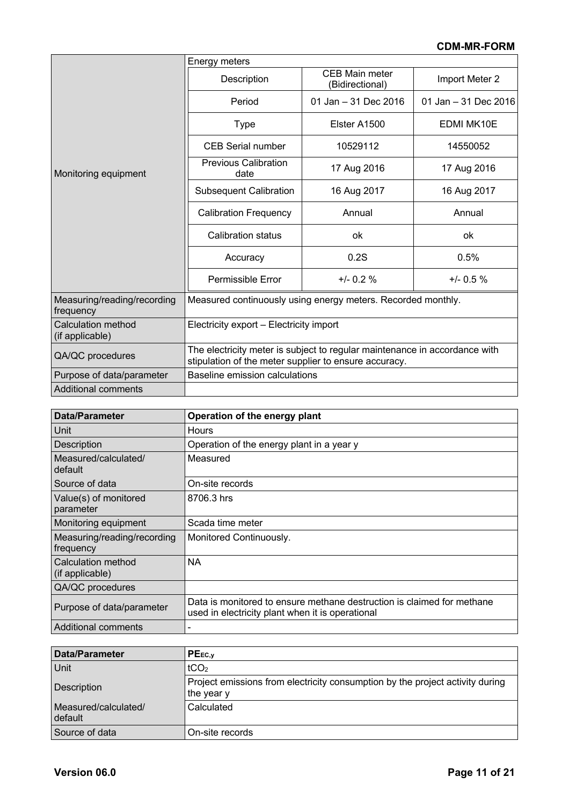|                                              | Energy meters                                                                                                                       |                                          |                      |
|----------------------------------------------|-------------------------------------------------------------------------------------------------------------------------------------|------------------------------------------|----------------------|
|                                              | Description                                                                                                                         | <b>CEB Main meter</b><br>(Bidirectional) | Import Meter 2       |
|                                              | Period                                                                                                                              | 01 Jan - 31 Dec 2016                     | 01 Jan - 31 Dec 2016 |
|                                              | <b>Type</b>                                                                                                                         | Elster A1500                             | <b>EDMI MK10E</b>    |
|                                              | <b>CEB Serial number</b>                                                                                                            | 10529112                                 | 14550052             |
| Monitoring equipment                         | <b>Previous Calibration</b><br>date                                                                                                 | 17 Aug 2016                              | 17 Aug 2016          |
|                                              | <b>Subsequent Calibration</b>                                                                                                       | 16 Aug 2017                              | 16 Aug 2017          |
|                                              | <b>Calibration Frequency</b>                                                                                                        | Annual                                   | Annual               |
|                                              | <b>Calibration status</b>                                                                                                           | ok                                       | ok                   |
|                                              | Accuracy                                                                                                                            | 0.2S                                     | 0.5%                 |
|                                              | <b>Permissible Error</b>                                                                                                            | $+/- 0.2 %$                              |                      |
| Measuring/reading/recording<br>frequency     | Measured continuously using energy meters. Recorded monthly.                                                                        |                                          |                      |
| <b>Calculation method</b><br>(if applicable) | Electricity export – Electricity import                                                                                             |                                          |                      |
| QA/QC procedures                             | The electricity meter is subject to regular maintenance in accordance with<br>stipulation of the meter supplier to ensure accuracy. |                                          |                      |
| Purpose of data/parameter                    | Baseline emission calculations                                                                                                      |                                          |                      |
| Additional comments                          |                                                                                                                                     |                                          |                      |

| <b>Data/Parameter</b>                    | Operation of the energy plant                                                                                              |
|------------------------------------------|----------------------------------------------------------------------------------------------------------------------------|
| Unit                                     | Hours                                                                                                                      |
| <b>Description</b>                       | Operation of the energy plant in a year y                                                                                  |
| Measured/calculated/<br>default          | Measured                                                                                                                   |
| Source of data                           | On-site records                                                                                                            |
| Value(s) of monitored<br>parameter       | 8706.3 hrs                                                                                                                 |
| Monitoring equipment                     | Scada time meter                                                                                                           |
| Measuring/reading/recording<br>frequency | Monitored Continuously.                                                                                                    |
| Calculation method<br>(if applicable)    | <b>NA</b>                                                                                                                  |
| QA/QC procedures                         |                                                                                                                            |
| Purpose of data/parameter                | Data is monitored to ensure methane destruction is claimed for methane<br>used in electricity plant when it is operational |
| Additional comments                      |                                                                                                                            |

| Data/Parameter                  | $PE_{EC,V}$                                                                                 |
|---------------------------------|---------------------------------------------------------------------------------------------|
| Unit                            | tCO <sub>2</sub>                                                                            |
| Description                     | Project emissions from electricity consumption by the project activity during<br>the year y |
| Measured/calculated/<br>default | Calculated                                                                                  |
| Source of data                  | On-site records                                                                             |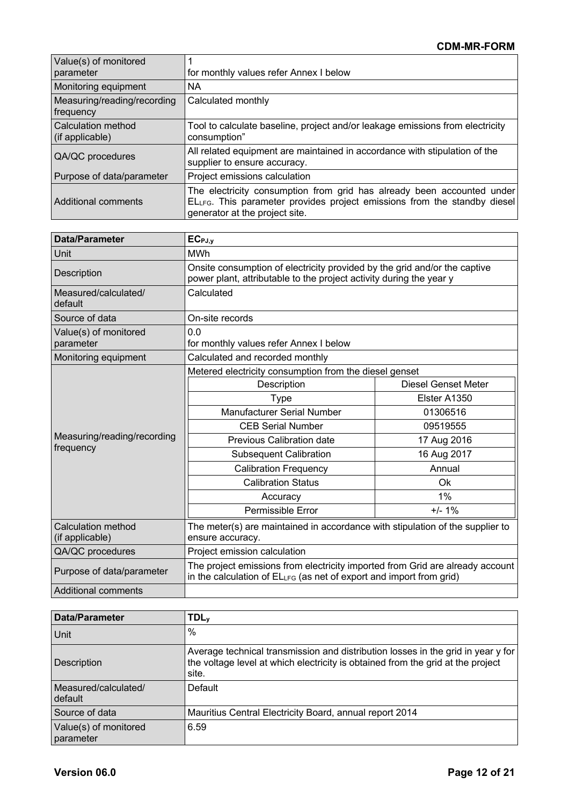| Value(s) of monitored<br>parameter           | for monthly values refer Annex I below                                                                                                                                               |
|----------------------------------------------|--------------------------------------------------------------------------------------------------------------------------------------------------------------------------------------|
| Monitoring equipment                         | <b>NA</b>                                                                                                                                                                            |
| Measuring/reading/recording<br>frequency     | Calculated monthly                                                                                                                                                                   |
| <b>Calculation method</b><br>(if applicable) | Tool to calculate baseline, project and/or leakage emissions from electricity<br>consumption"                                                                                        |
| QA/QC procedures                             | All related equipment are maintained in accordance with stipulation of the<br>supplier to ensure accuracy.                                                                           |
| Purpose of data/parameter                    | Project emissions calculation                                                                                                                                                        |
| Additional comments                          | The electricity consumption from grid has already been accounted under<br>ELLFG. This parameter provides project emissions from the standby diesel<br>generator at the project site. |

| <b>Data/Parameter</b>                 | $EC_{PJ,y}$                                                                                                                                          |                     |  |  |
|---------------------------------------|------------------------------------------------------------------------------------------------------------------------------------------------------|---------------------|--|--|
| Unit                                  | <b>MWh</b>                                                                                                                                           |                     |  |  |
| Description                           | Onsite consumption of electricity provided by the grid and/or the captive<br>power plant, attributable to the project activity during the year y     |                     |  |  |
| Measured/calculated/<br>default       | Calculated                                                                                                                                           |                     |  |  |
| Source of data                        | On-site records                                                                                                                                      |                     |  |  |
| Value(s) of monitored<br>parameter    | 0.0<br>for monthly values refer Annex I below                                                                                                        |                     |  |  |
| Monitoring equipment                  | Calculated and recorded monthly                                                                                                                      |                     |  |  |
|                                       | Metered electricity consumption from the diesel genset                                                                                               |                     |  |  |
|                                       | Description                                                                                                                                          | Diesel Genset Meter |  |  |
|                                       | <b>Type</b>                                                                                                                                          | Elster A1350        |  |  |
|                                       | <b>Manufacturer Serial Number</b>                                                                                                                    | 01306516            |  |  |
|                                       | <b>CEB Serial Number</b>                                                                                                                             | 09519555            |  |  |
| Measuring/reading/recording           | Previous Calibration date                                                                                                                            | 17 Aug 2016         |  |  |
| frequency                             | <b>Subsequent Calibration</b>                                                                                                                        | 16 Aug 2017         |  |  |
|                                       | <b>Calibration Frequency</b>                                                                                                                         | Annual              |  |  |
|                                       | <b>Calibration Status</b>                                                                                                                            | Ok                  |  |  |
|                                       | Accuracy                                                                                                                                             | 1%                  |  |  |
|                                       | Permissible Error                                                                                                                                    | $+/- 1%$            |  |  |
| Calculation method<br>(if applicable) | The meter(s) are maintained in accordance with stipulation of the supplier to<br>ensure accuracy.                                                    |                     |  |  |
| QA/QC procedures                      | Project emission calculation                                                                                                                         |                     |  |  |
| Purpose of data/parameter             | The project emissions from electricity imported from Grid are already account<br>in the calculation of ELLFG (as net of export and import from grid) |                     |  |  |
| <b>Additional comments</b>            |                                                                                                                                                      |                     |  |  |

| Data/Parameter                     | <b>TDL</b> <sub>y</sub>                                                                                                                                                      |
|------------------------------------|------------------------------------------------------------------------------------------------------------------------------------------------------------------------------|
| <b>Unit</b>                        | $\frac{0}{0}$                                                                                                                                                                |
| Description                        | Average technical transmission and distribution losses in the grid in year y for<br>the voltage level at which electricity is obtained from the grid at the project<br>site. |
| Measured/calculated/<br>default    | Default                                                                                                                                                                      |
| Source of data                     | Mauritius Central Electricity Board, annual report 2014                                                                                                                      |
| Value(s) of monitored<br>parameter | 6.59                                                                                                                                                                         |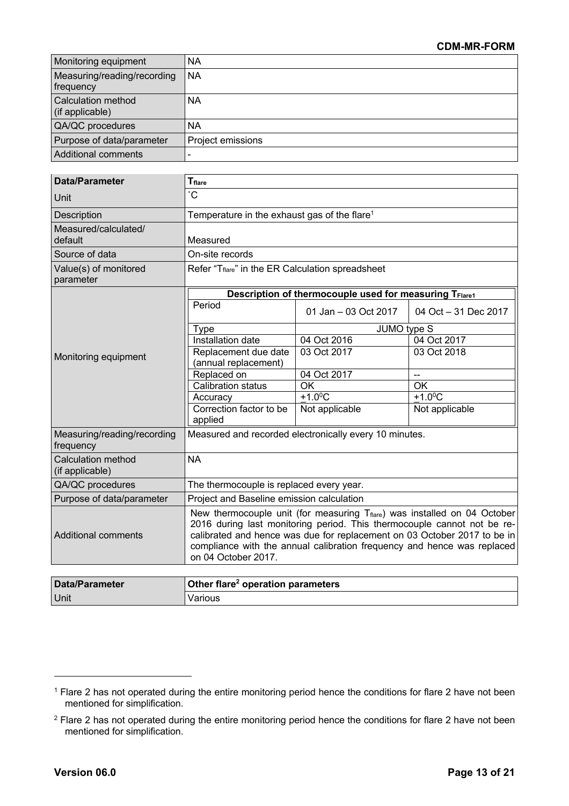| Monitoring equipment                         | <b>NA</b>         |
|----------------------------------------------|-------------------|
| Measuring/reading/recording<br>frequency     | <b>NA</b>         |
| <b>Calculation method</b><br>(if applicable) | NА                |
| QA/QC procedures                             | <b>NA</b>         |
| Purpose of data/parameter                    | Project emissions |
| Additional comments                          |                   |

| <b>Data/Parameter</b>                        | <b>T</b> <sub>flare</sub>                                                                                                                                                                                                                                                                                                                      |                                                        |                          |  |  |
|----------------------------------------------|------------------------------------------------------------------------------------------------------------------------------------------------------------------------------------------------------------------------------------------------------------------------------------------------------------------------------------------------|--------------------------------------------------------|--------------------------|--|--|
| Unit                                         | $^\circ \text{C}$                                                                                                                                                                                                                                                                                                                              |                                                        |                          |  |  |
| Description                                  | Temperature in the exhaust gas of the flare <sup>1</sup>                                                                                                                                                                                                                                                                                       |                                                        |                          |  |  |
| Measured/calculated/<br>default              | Measured                                                                                                                                                                                                                                                                                                                                       |                                                        |                          |  |  |
| Source of data                               | On-site records                                                                                                                                                                                                                                                                                                                                |                                                        |                          |  |  |
| Value(s) of monitored<br>parameter           | Refer "Tflare" in the ER Calculation spreadsheet                                                                                                                                                                                                                                                                                               |                                                        |                          |  |  |
|                                              |                                                                                                                                                                                                                                                                                                                                                | Description of thermocouple used for measuring TFlare1 |                          |  |  |
|                                              | Period                                                                                                                                                                                                                                                                                                                                         | 01 Jan - 03 Oct 2017                                   | 04 Oct - 31 Dec 2017     |  |  |
|                                              | <b>Type</b>                                                                                                                                                                                                                                                                                                                                    |                                                        | JUMO type S              |  |  |
|                                              | Installation date                                                                                                                                                                                                                                                                                                                              | 04 Oct 2016                                            | 04 Oct 2017              |  |  |
| Monitoring equipment                         | Replacement due date<br>(annual replacement)                                                                                                                                                                                                                                                                                                   | 03 Oct 2017                                            | 03 Oct 2018              |  |  |
|                                              | Replaced on                                                                                                                                                                                                                                                                                                                                    | 04 Oct 2017                                            | $\overline{\phantom{a}}$ |  |  |
|                                              | Calibration status                                                                                                                                                                                                                                                                                                                             | $\overline{OK}$                                        | <b>OK</b>                |  |  |
|                                              | Accuracy                                                                                                                                                                                                                                                                                                                                       | $+1.0$ <sup>o</sup> C                                  | $+1.0$ <sup>o</sup> C    |  |  |
|                                              | Correction factor to be<br>applied                                                                                                                                                                                                                                                                                                             | Not applicable                                         | Not applicable           |  |  |
| Measuring/reading/recording<br>frequency     | Measured and recorded electronically every 10 minutes.                                                                                                                                                                                                                                                                                         |                                                        |                          |  |  |
| <b>Calculation method</b><br>(if applicable) | <b>NA</b>                                                                                                                                                                                                                                                                                                                                      |                                                        |                          |  |  |
| QA/QC procedures                             | The thermocouple is replaced every year.                                                                                                                                                                                                                                                                                                       |                                                        |                          |  |  |
| Purpose of data/parameter                    | Project and Baseline emission calculation                                                                                                                                                                                                                                                                                                      |                                                        |                          |  |  |
| <b>Additional comments</b>                   | New thermocouple unit (for measuring $T_{\text{flare}}$ ) was installed on 04 October<br>2016 during last monitoring period. This thermocouple cannot not be re-<br>calibrated and hence was due for replacement on 03 October 2017 to be in<br>compliance with the annual calibration frequency and hence was replaced<br>on 04 October 2017. |                                                        |                          |  |  |
|                                              |                                                                                                                                                                                                                                                                                                                                                |                                                        |                          |  |  |
| <b>Data/Parameter</b>                        | Other flare <sup>2</sup> operation parameters                                                                                                                                                                                                                                                                                                  |                                                        |                          |  |  |
| Unit                                         | Various                                                                                                                                                                                                                                                                                                                                        |                                                        |                          |  |  |

<sup>&</sup>lt;sup>1</sup> Flare 2 has not operated during the entire monitoring period hence the conditions for flare 2 have not been mentioned for simplification.

<sup>&</sup>lt;sup>2</sup> Flare 2 has not operated during the entire monitoring period hence the conditions for flare 2 have not been mentioned for simplification.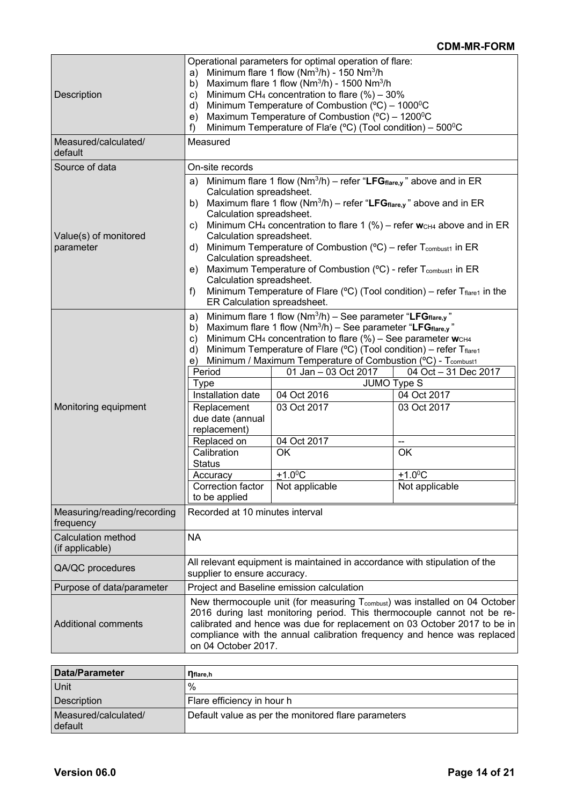| Description<br>Measured/calculated/<br>default | Operational parameters for optimal operation of flare:<br>Minimum flare 1 flow ( $Nm^3/h$ ) - 150 $Nm^3/h$<br>a)<br>Maximum flare 1 flow ( $Nm^3/h$ ) - 1500 $Nm^3/h$<br>b)<br>Minimum CH <sub>4</sub> concentration to flare $(\%)$ – 30%<br>C)<br>Minimum Temperature of Combustion ( $^{\circ}$ C) – 1000 $^{\circ}$ C<br>d)<br>Maximum Temperature of Combustion ( $^{\circ}$ C) – 1200 $^{\circ}$ C<br>e)<br>Minimum Temperature of Fla <sup>r</sup> e ( $^{\circ}$ C) (Tool condition) – 500 $^{\circ}$ C<br>f)<br>Measured                                                                                                                                                                                                          |                                                                                                                                                                                                                                                                                                                                                                                                                                                                                                          |                                                                                                                                                |  |  |
|------------------------------------------------|--------------------------------------------------------------------------------------------------------------------------------------------------------------------------------------------------------------------------------------------------------------------------------------------------------------------------------------------------------------------------------------------------------------------------------------------------------------------------------------------------------------------------------------------------------------------------------------------------------------------------------------------------------------------------------------------------------------------------------------------|----------------------------------------------------------------------------------------------------------------------------------------------------------------------------------------------------------------------------------------------------------------------------------------------------------------------------------------------------------------------------------------------------------------------------------------------------------------------------------------------------------|------------------------------------------------------------------------------------------------------------------------------------------------|--|--|
| Source of data                                 | On-site records                                                                                                                                                                                                                                                                                                                                                                                                                                                                                                                                                                                                                                                                                                                            |                                                                                                                                                                                                                                                                                                                                                                                                                                                                                                          |                                                                                                                                                |  |  |
| Value(s) of monitored<br>parameter             | Minimum flare 1 flow ( $Nm^3/h$ ) – refer "LFG flare, y" above and in ER<br>a)<br>Calculation spreadsheet.<br>Maximum flare 1 flow ( $Nm^3/h$ ) – refer "LFG $_{flare,y}$ " above and in ER<br>b)<br>Calculation spreadsheet.<br>Minimum CH <sub>4</sub> concentration to flare 1 (%) – refer w <sub>CH4</sub> above and in ER<br>C)<br>Calculation spreadsheet.<br>Minimum Temperature of Combustion ( ${}^{\circ}$ C) – refer T <sub>combust1</sub> in ER<br>d)<br>Calculation spreadsheet.<br>Maximum Temperature of Combustion (°C) - refer T <sub>combust1</sub> in ER<br>e)<br>Calculation spreadsheet.<br>Minimum Temperature of Flare ( $^{\circ}$ C) (Tool condition) – refer Tflare1 in the<br>f)<br>ER Calculation spreadsheet. |                                                                                                                                                                                                                                                                                                                                                                                                                                                                                                          |                                                                                                                                                |  |  |
| Monitoring equipment                           | a)<br>b)<br>C)<br>d)<br>e)<br>Period<br><b>Type</b><br>Installation date<br>Replacement<br>due date (annual<br>replacement)<br>Replaced on<br>Calibration<br><b>Status</b><br>Accuracy<br>Correction factor<br>to be applied                                                                                                                                                                                                                                                                                                                                                                                                                                                                                                               | Minimum flare 1 flow $(Nm^3/h)$ – See parameter "LFGflare,y"<br>Maximum flare 1 flow ( $Nm^3/h$ ) – See parameter "LFG $_{\text{flare}, y}$ "<br>Minimum CH <sub>4</sub> concentration to flare $(\%)$ – See parameter $w_{CH4}$<br>Minimum Temperature of Flare (°C) (Tool condition) – refer Tflare1<br>Minimum / Maximum Temperature of Combustion (°C) - T <sub>combust1</sub><br>01 Jan - 03 Oct 2017<br>04 Oct 2016<br>03 Oct 2017<br>04 Oct 2017<br>OK<br>$+1.0$ <sup>o</sup> C<br>Not applicable | 04 Oct - 31 Dec 2017<br>JUMO Type S<br>04 Oct 2017<br>03 Oct 2017<br>$\overline{\phantom{a}}$<br>OK<br>$+1.0$ <sup>o</sup> C<br>Not applicable |  |  |
| Measuring/reading/recording<br>frequency       | Recorded at 10 minutes interval                                                                                                                                                                                                                                                                                                                                                                                                                                                                                                                                                                                                                                                                                                            |                                                                                                                                                                                                                                                                                                                                                                                                                                                                                                          |                                                                                                                                                |  |  |
| <b>Calculation method</b><br>(if applicable)   | <b>NA</b>                                                                                                                                                                                                                                                                                                                                                                                                                                                                                                                                                                                                                                                                                                                                  |                                                                                                                                                                                                                                                                                                                                                                                                                                                                                                          |                                                                                                                                                |  |  |
| QA/QC procedures                               | All relevant equipment is maintained in accordance with stipulation of the<br>supplier to ensure accuracy.                                                                                                                                                                                                                                                                                                                                                                                                                                                                                                                                                                                                                                 |                                                                                                                                                                                                                                                                                                                                                                                                                                                                                                          |                                                                                                                                                |  |  |
| Purpose of data/parameter                      |                                                                                                                                                                                                                                                                                                                                                                                                                                                                                                                                                                                                                                                                                                                                            | Project and Baseline emission calculation                                                                                                                                                                                                                                                                                                                                                                                                                                                                |                                                                                                                                                |  |  |
| <b>Additional comments</b>                     | New thermocouple unit (for measuring T <sub>combust</sub> ) was installed on 04 October<br>2016 during last monitoring period. This thermocouple cannot not be re-<br>calibrated and hence was due for replacement on 03 October 2017 to be in<br>compliance with the annual calibration frequency and hence was replaced<br>on 04 October 2017.                                                                                                                                                                                                                                                                                                                                                                                           |                                                                                                                                                                                                                                                                                                                                                                                                                                                                                                          |                                                                                                                                                |  |  |

| <b>Data/Parameter</b>           | <b>n</b> flare,h                                    |
|---------------------------------|-----------------------------------------------------|
| Unit                            | $\%$                                                |
| Description                     | Flare efficiency in hour h                          |
| Measured/calculated/<br>default | Default value as per the monitored flare parameters |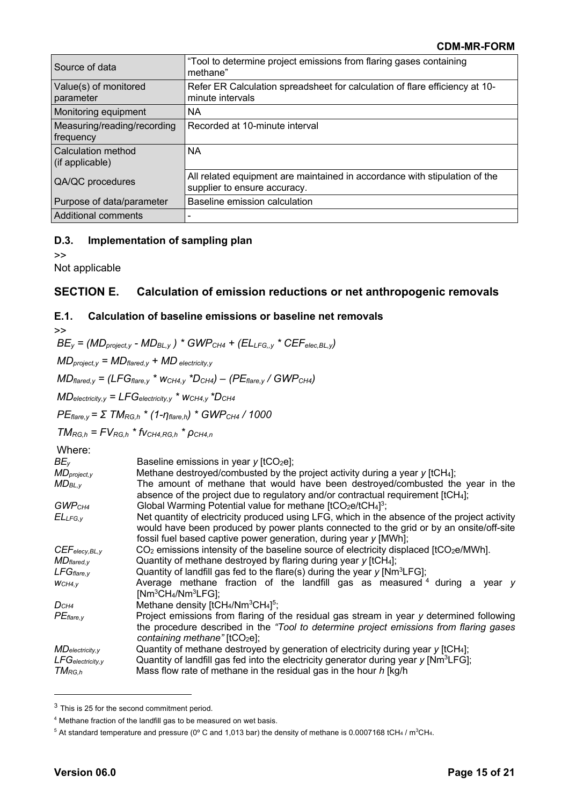| Source of data                           | "Tool to determine project emissions from flaring gases containing<br>methane"                             |
|------------------------------------------|------------------------------------------------------------------------------------------------------------|
| Value(s) of monitored<br>parameter       | Refer ER Calculation spreadsheet for calculation of flare efficiency at 10-<br>minute intervals            |
| Monitoring equipment                     | <b>NA</b>                                                                                                  |
| Measuring/reading/recording<br>frequency | Recorded at 10-minute interval                                                                             |
| Calculation method<br>(if applicable)    | <b>NA</b>                                                                                                  |
| QA/QC procedures                         | All related equipment are maintained in accordance with stipulation of the<br>supplier to ensure accuracy. |
| Purpose of data/parameter                | Baseline emission calculation                                                                              |
| Additional comments                      |                                                                                                            |

### **D.3. Implementation of sampling plan**

>>

Not applicable

# **SECTION E. Calculation of emission reductions or net anthropogenic removals**

### **E.1. Calculation of baseline emissions or baseline net removals**

>>  $BE_v = (MD_{project, v} - MD_{BL, v})$  *\**  $GWP_{CH4} + (EL_{LEG, v} * CEF_{elec, BL, v})$ *MDproject,y = MDflared,y + MD electricity,y MDflared,y = (LFGflare,y \* wCH4,y \*DCH4) – (PEflare,y / GWPCH4) MDelectricity,y = LFGelectricity,y \* wCH4,y \*DCH4 PEflare,y = Σ TMRG,h \* (1-ηflare,h) \* GWPCH4 / 1000*  $TM_{RGLh} = FV_{RGLh} * f_{VCH4, RG,h} * \rho_{CH4,h}$ Where: *BE<sub>y</sub>* Baseline emissions in year *y* [tCO<sub>2</sub>e]; *MDproject,y* Methane destroyed/combusted by the project activity during a year *y* [tCH4]; *MDBL,y* The amount of methane that would have been destroyed/combusted the year in the absence of the project due to regulatory and/or contractual requirement [tCH<sub>4</sub>]; GWP<sub>CH4</sub> Global Warming Potential value for methane [tCO<sub>2</sub>e/tCH<sub>4</sub>]<sup>3</sup>; *ELLFG,y* Net quantity of electricity produced using LFG, which in the absence of the project activity would have been produced by power plants connected to the grid or by an onsite/off-site fossil fuel based captive power generation, during year *y* [MWh]; CEF<sub>elecy,BL,y</sub> CO<sub>2</sub> emissions intensity of the baseline source of electricity displaced [tCO<sub>2</sub>e/MWh]. *MD<sub>flared,v* Quantity of methane destroyed by flaring during year *y* [tCH<sub>4</sub>];</sub> *LFGflare,y* Quantity of landfill gas fed to the flare(s) during the year *y* [Nm3LFG]; *wCH4,y* Average methane fraction of the landfill gas as measured <sup>4</sup> during a year *y* [Nm3CH4/Nm3LFG]; D<sub>CH4</sub> Methane density [tCH<sub>4</sub>/Nm<sup>3</sup>CH<sub>4</sub>]<sup>5</sup>; PE<sub>flare,y</sub> Project emissions from flaring of the residual gas stream in year *y* determined following the procedure described in the *"Tool to determine project emissions from flaring gases*  containing methane" [tCO<sub>2</sub>e]; *MDelectricity,y* Quantity of methane destroyed by generation of electricity during year *y* [tCH4]; *LFGelectricity,y* Quantity of landfill gas fed into the electricity generator during year *y* [Nm3LFG]; *TMRG,h* Mass flow rate of methane in the residual gas in the hour *h* [kg/h

<sup>&</sup>lt;sup>3</sup> This is 25 for the second commitment period.

<sup>4</sup> Methane fraction of the landfill gas to be measured on wet basis.

 $^5$  At standard temperature and pressure (0° C and 1,013 bar) the density of methane is 0.0007168 tCH $_4$  / m $^3$ CH $_{4\cdot}$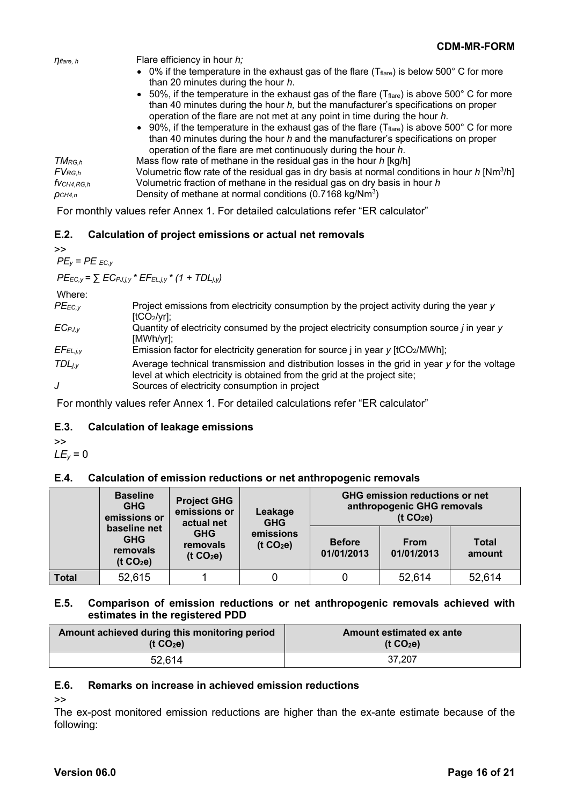|                               | <b>CDM-MR-FORM</b>                                                                                                                                                                                                                                                               |
|-------------------------------|----------------------------------------------------------------------------------------------------------------------------------------------------------------------------------------------------------------------------------------------------------------------------------|
| $\eta$ flare, h               | Flare efficiency in hour h;                                                                                                                                                                                                                                                      |
|                               | • 0% if the temperature in the exhaust gas of the flare ( $T_{\text{flare}}$ ) is below 500° C for more<br>than 20 minutes during the hour h.                                                                                                                                    |
|                               | • 50%, if the temperature in the exhaust gas of the flare ( $T_{\text{flare}}$ ) is above 500° C for more<br>than 40 minutes during the hour $h$ , but the manufacturer's specifications on proper<br>operation of the flare are not met at any point in time during the hour h. |
|                               | • 90%, if the temperature in the exhaust gas of the flare ( $T_{\text{flare}}$ ) is above 500° C for more<br>than 40 minutes during the hour h and the manufacturer's specifications on proper<br>operation of the flare are met continuously during the hour h.                 |
| $TM_{RG,h}$                   | Mass flow rate of methane in the residual gas in the hour h [kg/h]                                                                                                                                                                                                               |
| $\mathsf{FV}_{\mathsf{RG},h}$ | Volumetric flow rate of the residual gas in dry basis at normal conditions in hour $h$ [Nm <sup>3</sup> /h]                                                                                                                                                                      |
| $f$ VCH4,RG,h                 | Volumetric fraction of methane in the residual gas on dry basis in hour h                                                                                                                                                                                                        |
| OCH4, n                       | Density of methane at normal conditions (0.7168 kg/Nm <sup>3</sup> )                                                                                                                                                                                                             |

For monthly values refer Annex 1. For detailed calculations refer "ER calculator"

## **E.2. Calculation of project emissions or actual net removals**

>>  $PE<sub>v</sub>$  =  $PE<sub>EC.v</sub>$ 

 $P_{EEC,y} = \sum EC_{PJ,j,y} * EF_{EL,j,y} * (1 + TDL_{j,y})$ 

Where:

| $PE_{EC,V}$   | Project emissions from electricity consumption by the project activity during the year y           |
|---------------|----------------------------------------------------------------------------------------------------|
|               | $[tCO2/yr]$ ;                                                                                      |
| $EC_{PJ,y}$   | Quantity of electricity consumed by the project electricity consumption source <i>i</i> in year y  |
|               | $[MWh/yr]$ ;                                                                                       |
| $EFE_{L,j,y}$ | Emission factor for electricity generation for source $\mu$ in year $\mu$ [tCO <sub>2</sub> /MWh]; |
|               |                                                                                                    |
| $TDL_{i.v}$   | Average technical transmission and distribution losses in the grid in year y for the voltage       |
|               | level at which electricity is obtained from the grid at the project site;                          |
| J             | Sources of electricity consumption in project                                                      |
|               |                                                                                                    |

For monthly values refer Annex 1. For detailed calculations refer "ER calculator"

## **E.3. Calculation of leakage emissions**

>>

 $LE<sub>v</sub> = 0$ 

## **E.4. Calculation of emission reductions or net anthropogenic removals**

|       | <b>Baseline</b><br><b>GHG</b><br>emissions or                   | <b>Project GHG</b><br>emissions or<br>actual net<br><b>GHG</b><br>removals<br>(t CO <sub>2</sub> e) | Leakage<br><b>GHG</b><br>emissions<br>(t CO <sub>2</sub> e) | <b>GHG emission reductions or net</b><br>anthropogenic GHG removals<br>(t CO <sub>2</sub> e) |                           |                        |
|-------|-----------------------------------------------------------------|-----------------------------------------------------------------------------------------------------|-------------------------------------------------------------|----------------------------------------------------------------------------------------------|---------------------------|------------------------|
|       | baseline net<br><b>GHG</b><br>removals<br>(t CO <sub>2</sub> e) |                                                                                                     |                                                             | <b>Before</b><br>01/01/2013                                                                  | <b>From</b><br>01/01/2013 | <b>Total</b><br>amount |
| Total | 52,615                                                          |                                                                                                     |                                                             |                                                                                              | 52,614                    | 52,614                 |

### **E.5. Comparison of emission reductions or net anthropogenic removals achieved with estimates in the registered PDD**

| Amount achieved during this monitoring period | Amount estimated ex ante |  |
|-----------------------------------------------|--------------------------|--|
| (t CO <sub>2</sub> e)                         | (t $CO2e$ )              |  |
| 52,614                                        | 37.207                   |  |

## **E.6. Remarks on increase in achieved emission reductions**

>>

The ex-post monitored emission reductions are higher than the ex-ante estimate because of the following: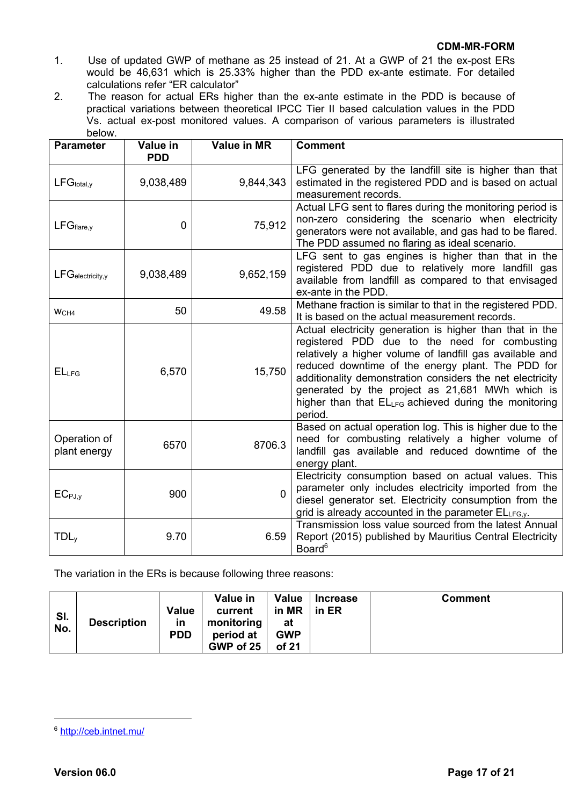- 1. Use of updated GWP of methane as 25 instead of 21. At a GWP of 21 the ex-post ERs would be 46,631 which is 25.33% higher than the PDD ex-ante estimate. For detailed calculations refer "ER calculator"
- 2. The reason for actual ERs higher than the ex-ante estimate in the PDD is because of practical variations between theoretical IPCC Tier II based calculation values in the PDD Vs. actual ex-post monitored values. A comparison of various parameters is illustrated below.

| <b>Parameter</b>             | Value in<br><b>PDD</b> | <b>Value in MR</b> | <b>Comment</b>                                                                                                                                                                                                                                                                                                                                                                                                 |
|------------------------------|------------------------|--------------------|----------------------------------------------------------------------------------------------------------------------------------------------------------------------------------------------------------------------------------------------------------------------------------------------------------------------------------------------------------------------------------------------------------------|
| $LFG_{total,y}$              | 9,038,489              | 9,844,343          | LFG generated by the landfill site is higher than that<br>estimated in the registered PDD and is based on actual<br>measurement records.                                                                                                                                                                                                                                                                       |
| $LFG_{flare,y}$              | $\overline{0}$         | 75,912             | Actual LFG sent to flares during the monitoring period is<br>non-zero considering the scenario when electricity<br>generators were not available, and gas had to be flared.<br>The PDD assumed no flaring as ideal scenario.                                                                                                                                                                                   |
| $LFG_{\text{electricity},y}$ | 9,038,489              | 9,652,159          | LFG sent to gas engines is higher than that in the<br>registered PDD due to relatively more landfill gas<br>available from landfill as compared to that envisaged<br>ex-ante in the PDD.                                                                                                                                                                                                                       |
| WCH4                         | 50                     | 49.58              | Methane fraction is similar to that in the registered PDD.<br>It is based on the actual measurement records.                                                                                                                                                                                                                                                                                                   |
| EL <sub>LFG</sub>            | 6,570                  | 15,750             | Actual electricity generation is higher than that in the<br>registered PDD due to the need for combusting<br>relatively a higher volume of landfill gas available and<br>reduced downtime of the energy plant. The PDD for<br>additionality demonstration considers the net electricity<br>generated by the project as 21,681 MWh which is<br>higher than that ELLFG achieved during the monitoring<br>period. |
| Operation of<br>plant energy | 6570                   | 8706.3             | Based on actual operation log. This is higher due to the<br>need for combusting relatively a higher volume of<br>landfill gas available and reduced downtime of the<br>energy plant.                                                                                                                                                                                                                           |
| $EC_{PJ,y}$                  | 900                    | $\Omega$           | Electricity consumption based on actual values. This<br>parameter only includes electricity imported from the<br>diesel generator set. Electricity consumption from the<br>grid is already accounted in the parameter ELLFG,y.                                                                                                                                                                                 |
| TDL <sub>v</sub>             | 9.70                   | 6.59               | Transmission loss value sourced from the latest Annual<br>Report (2015) published by Mauritius Central Electricity<br>Board <sup>6</sup>                                                                                                                                                                                                                                                                       |

The variation in the ERs is because following three reasons:

| SI.<br>No. | <b>Description</b> | <b>Value</b><br><b>in</b><br><b>PDD</b> | Value in<br>current<br>monitoring<br>period at<br>GWP of 25 | <b>Value</b><br>in MR<br>at<br><b>GWP</b><br>of 21 | <b>Increase</b><br>in ER | <b>Comment</b> |
|------------|--------------------|-----------------------------------------|-------------------------------------------------------------|----------------------------------------------------|--------------------------|----------------|
|------------|--------------------|-----------------------------------------|-------------------------------------------------------------|----------------------------------------------------|--------------------------|----------------|

<sup>6</sup> http://ceb.intnet.mu/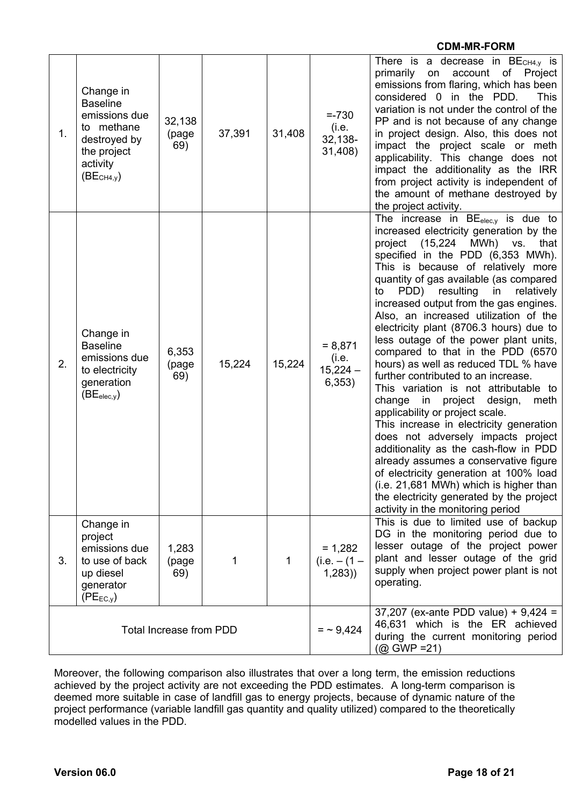|                                |                                                                                                                                  |                        |             |                                                                                                                                      |                                            | <b>CDM-MR-FORM</b>                                                                                                                                                                                                                                                                                                                                                                                                                                                                                                                                                                                                                                                                                                                                                                                                                                                                                                                                                                                                                          |
|--------------------------------|----------------------------------------------------------------------------------------------------------------------------------|------------------------|-------------|--------------------------------------------------------------------------------------------------------------------------------------|--------------------------------------------|---------------------------------------------------------------------------------------------------------------------------------------------------------------------------------------------------------------------------------------------------------------------------------------------------------------------------------------------------------------------------------------------------------------------------------------------------------------------------------------------------------------------------------------------------------------------------------------------------------------------------------------------------------------------------------------------------------------------------------------------------------------------------------------------------------------------------------------------------------------------------------------------------------------------------------------------------------------------------------------------------------------------------------------------|
| 1.                             | Change in<br><b>Baseline</b><br>emissions due<br>to methane<br>destroyed by<br>the project<br>activity<br>(BE <sub>CH4,y</sub> ) | 32,138<br>(page<br>69) | 37,391      | 31,408                                                                                                                               | $=.730$<br>(i.e.<br>32,138-<br>31,408)     | There is a decrease in $BECH4,y$ is<br>primarily on account of Project<br>emissions from flaring, which has been<br>considered 0 in the PDD.<br><b>This</b><br>variation is not under the control of the<br>PP and is not because of any change<br>in project design. Also, this does not<br>impact the project scale or meth<br>applicability. This change does not<br>impact the additionality as the IRR<br>from project activity is independent of<br>the amount of methane destroyed by<br>the project activity.                                                                                                                                                                                                                                                                                                                                                                                                                                                                                                                       |
| 2.                             | Change in<br><b>Baseline</b><br>emissions due<br>to electricity<br>generation<br>(BE <sub>elec,y</sub> )                         | 6,353<br>(page<br>69)  | 15,224      | 15,224                                                                                                                               | $= 8,871$<br>(i.e.<br>$15,224 -$<br>6,353) | The increase in $BE_{elec,y}$ is due to<br>increased electricity generation by the<br>project<br>(15,224<br>MWh) vs.<br>that<br>specified in the PDD (6,353 MWh).<br>This is because of relatively more<br>quantity of gas available (as compared<br>PDD) resulting in relatively<br>to<br>increased output from the gas engines.<br>Also, an increased utilization of the<br>electricity plant (8706.3 hours) due to<br>less outage of the power plant units,<br>compared to that in the PDD (6570<br>hours) as well as reduced TDL % have<br>further contributed to an increase.<br>This variation is not attributable to<br>change in project design,<br>meth<br>applicability or project scale.<br>This increase in electricity generation<br>does not adversely impacts project<br>additionality as the cash-flow in PDD<br>already assumes a conservative figure<br>of electricity generation at 100% load<br>(i.e. 21,681 MWh) which is higher than<br>the electricity generated by the project<br>activity in the monitoring period |
| 3.                             | Change in<br>project<br>emissions due<br>to use of back<br>up diesel<br>generator<br>$(PE_{EC,y})$                               | 1,283<br>(page<br>69)  | 1           | 1                                                                                                                                    | $= 1,282$<br>$(i.e. - (1 -$<br>(1, 283)    | This is due to limited use of backup<br>DG in the monitoring period due to<br>lesser outage of the project power<br>plant and lesser outage of the grid<br>supply when project power plant is not<br>operating.                                                                                                                                                                                                                                                                                                                                                                                                                                                                                                                                                                                                                                                                                                                                                                                                                             |
| <b>Total Increase from PDD</b> |                                                                                                                                  |                        | $=$ ~ 9,424 | 37,207 (ex-ante PDD value) + $9,424 =$<br>46,631 which is the ER achieved<br>during the current monitoring period<br>$(Q)$ GWP = 21) |                                            |                                                                                                                                                                                                                                                                                                                                                                                                                                                                                                                                                                                                                                                                                                                                                                                                                                                                                                                                                                                                                                             |

Moreover, the following comparison also illustrates that over a long term, the emission reductions achieved by the project activity are not exceeding the PDD estimates. A long-term comparison is deemed more suitable in case of landfill gas to energy projects, because of dynamic nature of the project performance (variable landfill gas quantity and quality utilized) compared to the theoretically modelled values in the PDD.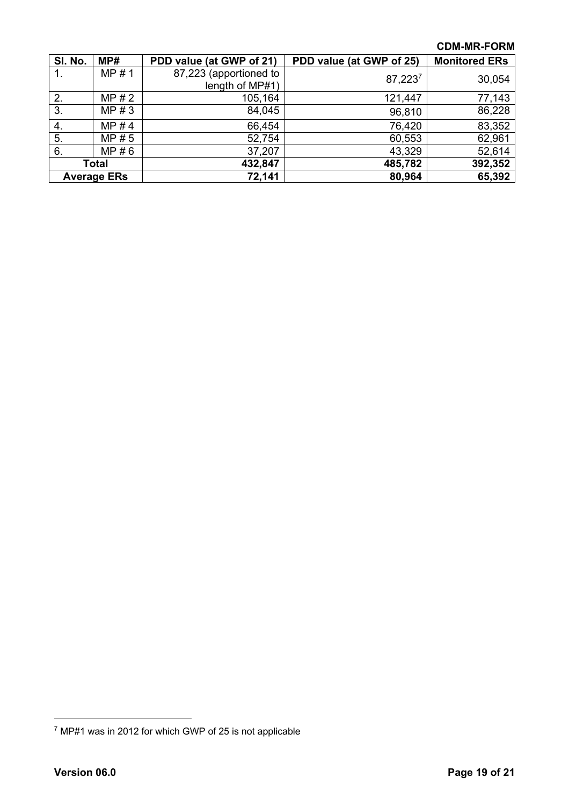| SI. No.            | MP#   | PDD value (at GWP of 21) | PDD value (at GWP of 25) | <b>Monitored ERs</b> |
|--------------------|-------|--------------------------|--------------------------|----------------------|
| 1.                 | MP#1  | 87,223 (apportioned to   | $87,223^7$               | 30,054               |
|                    |       | length of MP#1)          |                          |                      |
| 2.                 | MP#2  | 105,164                  | 121,447                  | 77,143               |
| 3.                 | MP#3  | 84,045                   | 96,810                   | 86,228               |
| 4.                 | MP#4  | 66,454                   | 76,420                   | 83,352               |
| 5.                 | MP#5  | 52,754                   | 60,553                   | 62,961               |
| 6.                 | MP#6  | 37,207                   | 43,329                   | 52,614               |
|                    | Total | 432,847                  | 485,782                  | 392,352              |
| <b>Average ERs</b> |       | 72,141                   | 80,964                   | 65,392               |

<sup>7</sup> MP#1 was in 2012 for which GWP of 25 is not applicable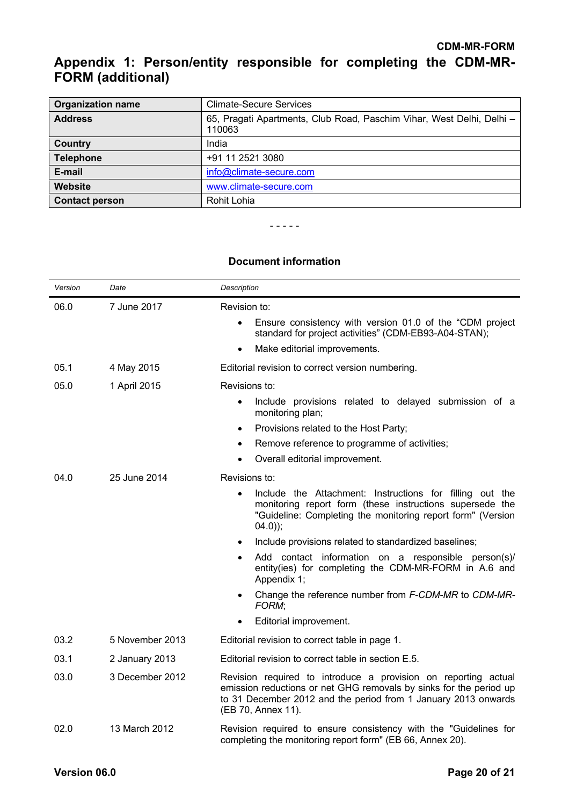# **Appendix 1: Person/entity responsible for completing the CDM-MR-FORM (additional)**

| <b>Organization name</b> | <b>Climate-Secure Services</b>                                                  |
|--------------------------|---------------------------------------------------------------------------------|
| <b>Address</b>           | 65, Pragati Apartments, Club Road, Paschim Vihar, West Delhi, Delhi -<br>110063 |
| Country                  | India                                                                           |
| <b>Telephone</b>         | +91 11 2521 3080                                                                |
| E-mail                   | info@climate-secure.com                                                         |
| Website                  | www.climate-secure.com                                                          |
| <b>Contact person</b>    | Rohit Lohia                                                                     |

- - - - -

### **Document information**

| Version | Date            | Description                                                                                                                                                                                                                  |
|---------|-----------------|------------------------------------------------------------------------------------------------------------------------------------------------------------------------------------------------------------------------------|
| 06.0    | 7 June 2017     | Revision to:                                                                                                                                                                                                                 |
|         |                 | Ensure consistency with version 01.0 of the "CDM project"<br>$\bullet$<br>standard for project activities" (CDM-EB93-A04-STAN);                                                                                              |
|         |                 | Make editorial improvements.<br>$\bullet$                                                                                                                                                                                    |
| 05.1    | 4 May 2015      | Editorial revision to correct version numbering.                                                                                                                                                                             |
| 05.0    | 1 April 2015    | Revisions to:                                                                                                                                                                                                                |
|         |                 | Include provisions related to delayed submission of a<br>$\bullet$<br>monitoring plan;                                                                                                                                       |
|         |                 | Provisions related to the Host Party;<br>$\bullet$                                                                                                                                                                           |
|         |                 | Remove reference to programme of activities;<br>$\bullet$                                                                                                                                                                    |
|         |                 | Overall editorial improvement.<br>$\bullet$                                                                                                                                                                                  |
| 04.0    | 25 June 2014    | Revisions to:                                                                                                                                                                                                                |
|         |                 | Include the Attachment: Instructions for filling out the<br>$\bullet$<br>monitoring report form (these instructions supersede the<br>"Guideline: Completing the monitoring report form" (Version<br>$(04.0)$ ;               |
|         |                 | Include provisions related to standardized baselines;                                                                                                                                                                        |
|         |                 | Add contact information on a responsible person(s)/<br>$\bullet$<br>entity(ies) for completing the CDM-MR-FORM in A.6 and<br>Appendix 1;                                                                                     |
|         |                 | Change the reference number from F-CDM-MR to CDM-MR-<br>$\bullet$<br>FORM;                                                                                                                                                   |
|         |                 | Editorial improvement.                                                                                                                                                                                                       |
| 03.2    | 5 November 2013 | Editorial revision to correct table in page 1.                                                                                                                                                                               |
| 03.1    | 2 January 2013  | Editorial revision to correct table in section E.5.                                                                                                                                                                          |
| 03.0    | 3 December 2012 | Revision required to introduce a provision on reporting actual<br>emission reductions or net GHG removals by sinks for the period up<br>to 31 December 2012 and the period from 1 January 2013 onwards<br>(EB 70, Annex 11). |
| 02.0    | 13 March 2012   | Revision required to ensure consistency with the "Guidelines for<br>completing the monitoring report form" (EB 66, Annex 20).                                                                                                |